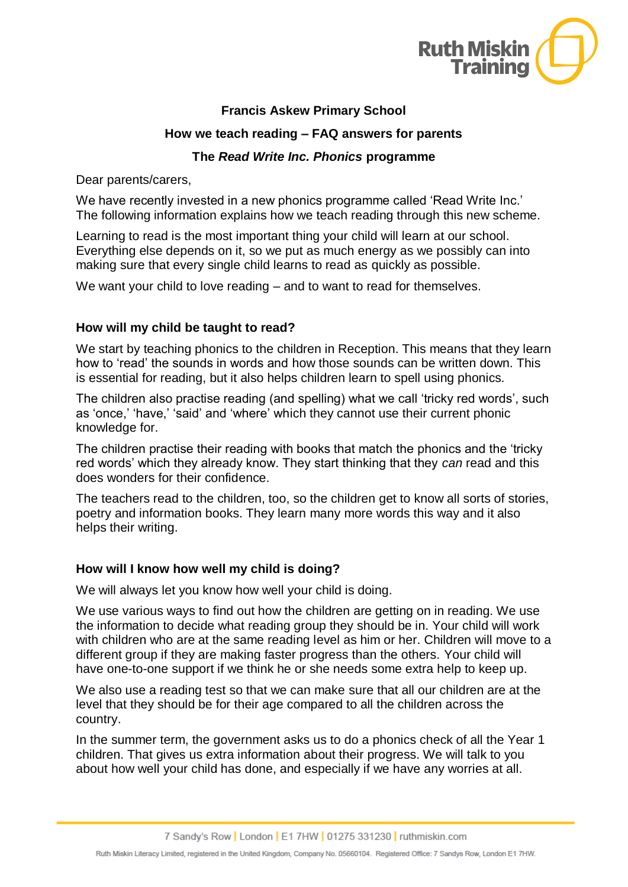

# **Francis Askew Primary School**

# **How we teach reading – FAQ answers for parents**

### **The** *Read Write Inc. Phonics* **programme**

Dear parents/carers,

We have recently invested in a new phonics programme called 'Read Write Inc.' The following information explains how we teach reading through this new scheme.

Learning to read is the most important thing your child will learn at our school. Everything else depends on it, so we put as much energy as we possibly can into making sure that every single child learns to read as quickly as possible.

We want your child to love reading – and to want to read for themselves.

# **How will my child be taught to read?**

We start by teaching phonics to the children in Reception. This means that they learn how to 'read' the sounds in words and how those sounds can be written down. This is essential for reading, but it also helps children learn to spell using phonics.

The children also practise reading (and spelling) what we call 'tricky red words', such as 'once,' 'have,' 'said' and 'where' which they cannot use their current phonic knowledge for.

The children practise their reading with books that match the phonics and the 'tricky red words' which they already know. They start thinking that they *can* read and this does wonders for their confidence.

The teachers read to the children, too, so the children get to know all sorts of stories, poetry and information books. They learn many more words this way and it also helps their writing.

### **How will I know how well my child is doing?**

We will always let you know how well your child is doing.

We use various ways to find out how the children are getting on in reading. We use the information to decide what reading group they should be in. Your child will work with children who are at the same reading level as him or her. Children will move to a different group if they are making faster progress than the others. Your child will have one-to-one support if we think he or she needs some extra help to keep up.

We also use a reading test so that we can make sure that all our children are at the level that they should be for their age compared to all the children across the country.

In the summer term, the government asks us to do a phonics check of all the Year 1 children. That gives us extra information about their progress. We will talk to you about how well your child has done, and especially if we have any worries at all.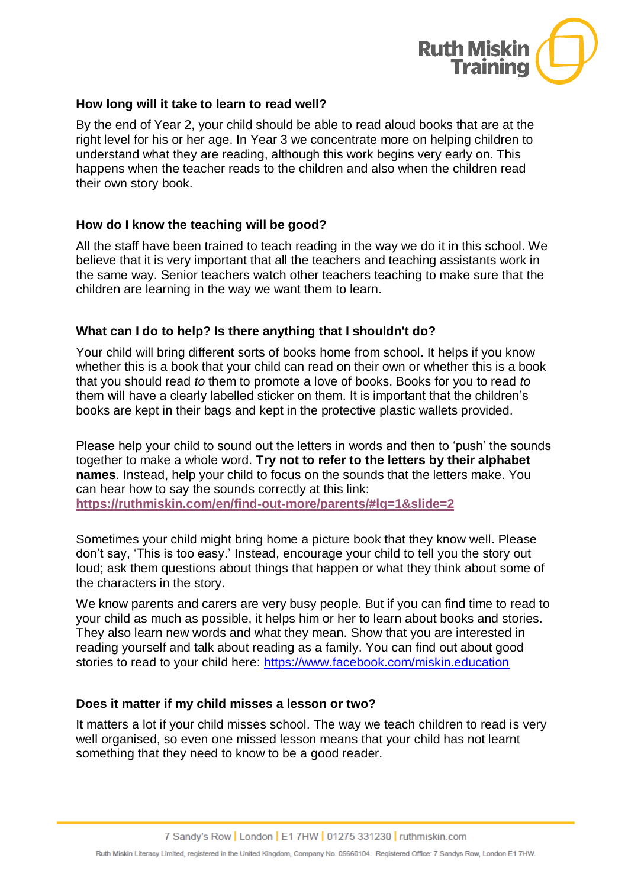

### **How long will it take to learn to read well?**

By the end of Year 2, your child should be able to read aloud books that are at the right level for his or her age. In Year 3 we concentrate more on helping children to understand what they are reading, although this work begins very early on. This happens when the teacher reads to the children and also when the children read their own story book.

# **How do I know the teaching will be good?**

All the staff have been trained to teach reading in the way we do it in this school. We believe that it is very important that all the teachers and teaching assistants work in the same way. Senior teachers watch other teachers teaching to make sure that the children are learning in the way we want them to learn.

# **What can I do to help? Is there anything that I shouldn't do?**

Your child will bring different sorts of books home from school. It helps if you know whether this is a book that your child can read on their own or whether this is a book that you should read *to* them to promote a love of books. Books for you to read *to* them will have a clearly labelled sticker on them. It is important that the children's books are kept in their bags and kept in the protective plastic wallets provided.

Please help your child to sound out the letters in words and then to 'push' the sounds together to make a whole word. **Try not to refer to the letters by their alphabet names**. Instead, help your child to focus on the sounds that the letters make. You can hear how to say the sounds correctly at this link: **<https://ruthmiskin.com/en/find-out-more/parents/#lg=1&slide=2>**

Sometimes your child might bring home a picture book that they know well. Please don't say, 'This is too easy.' Instead, encourage your child to tell you the story out loud; ask them questions about things that happen or what they think about some of the characters in the story.

We know parents and carers are very busy people. But if you can find time to read to your child as much as possible, it helps him or her to learn about books and stories. They also learn new words and what they mean. Show that you are interested in reading yourself and talk about reading as a family. You can find out about good stories to read to your child here:<https://www.facebook.com/miskin.education>

### **Does it matter if my child misses a lesson or two?**

It matters a lot if your child misses school. The way we teach children to read is very well organised, so even one missed lesson means that your child has not learnt something that they need to know to be a good reader.